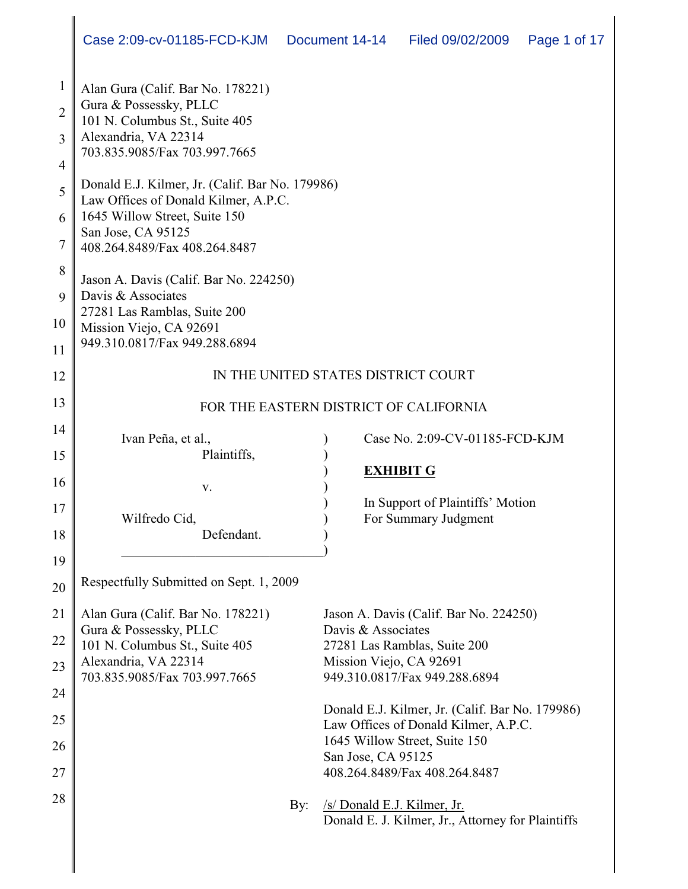| $\mathbf{1}$   | Alan Gura (Calif. Bar No. 178221)                                                       |                                                                       |
|----------------|-----------------------------------------------------------------------------------------|-----------------------------------------------------------------------|
| $\overline{2}$ | Gura & Possessky, PLLC<br>101 N. Columbus St., Suite 405                                |                                                                       |
| 3              | Alexandria, VA 22314                                                                    |                                                                       |
| $\overline{4}$ | 703.835.9085/Fax 703.997.7665                                                           |                                                                       |
| 5              | Donald E.J. Kilmer, Jr. (Calif. Bar No. 179986)<br>Law Offices of Donald Kilmer, A.P.C. |                                                                       |
| 6              | 1645 Willow Street, Suite 150                                                           |                                                                       |
| $\overline{7}$ | San Jose, CA 95125<br>408.264.8489/Fax 408.264.8487                                     |                                                                       |
| 8              |                                                                                         |                                                                       |
| 9              | Jason A. Davis (Calif. Bar No. 224250)<br>Davis & Associates                            |                                                                       |
| 10             | 27281 Las Ramblas, Suite 200<br>Mission Viejo, CA 92691                                 |                                                                       |
| 11             | 949.310.0817/Fax 949.288.6894                                                           |                                                                       |
| 12             |                                                                                         | IN THE UNITED STATES DISTRICT COURT                                   |
| 13             |                                                                                         | FOR THE EASTERN DISTRICT OF CALIFORNIA                                |
| 14             |                                                                                         |                                                                       |
| 15             | Ivan Peña, et al.,<br>Plaintiffs,                                                       | Case No. 2:09-CV-01185-FCD-KJM                                        |
| 16             |                                                                                         | <b>EXHIBIT G</b>                                                      |
| 17             | V.                                                                                      | In Support of Plaintiffs' Motion                                      |
|                | Wilfredo Cid,<br>Defendant.                                                             | For Summary Judgment                                                  |
| 18             |                                                                                         |                                                                       |
| 19             | Respectfully Submitted on Sept. 1, 2009                                                 |                                                                       |
| 20             |                                                                                         |                                                                       |
| 21             | Alan Gura (Calif. Bar No. 178221)<br>Gura & Possessky, PLLC                             | Jason A. Davis (Calif. Bar No. 224250)<br>Davis & Associates          |
| 22             | 101 N. Columbus St., Suite 405                                                          | 27281 Las Ramblas, Suite 200                                          |
| 23             | Alexandria, VA 22314                                                                    | Mission Viejo, CA 92691                                               |
| 24             | 703.835.9085/Fax 703.997.7665                                                           | 949.310.0817/Fax 949.288.6894                                         |
| 25             |                                                                                         | Donald E.J. Kilmer, Jr. (Calif. Bar No. 179986)                       |
|                |                                                                                         | Law Offices of Donald Kilmer, A.P.C.<br>1645 Willow Street, Suite 150 |
| 26             |                                                                                         | San Jose, CA 95125                                                    |
| 27             |                                                                                         | 408.264.8489/Fax 408.264.8487                                         |
| 28             | By:                                                                                     | /s/ Donald E.J. Kilmer, Jr.                                           |
|                |                                                                                         | Donald E. J. Kilmer, Jr., Attorney for Plaintiffs                     |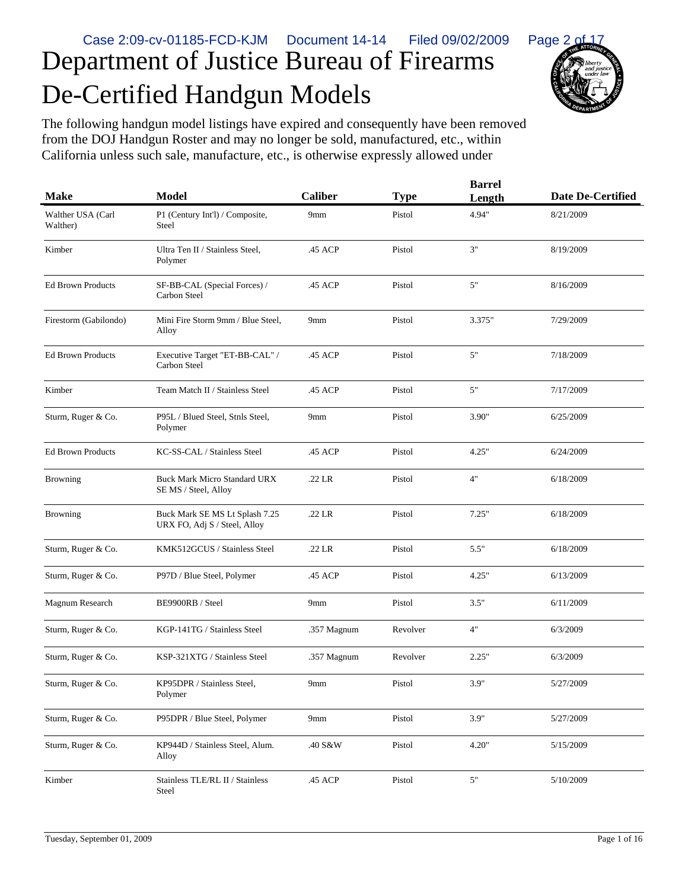

The following handgun model listings have expired and consequently have been removed from the DOJ Handgun Roster and may no longer be sold, manufactured, etc., within California unless such sale, manufacture, etc., is otherwise expressly allowed under

De-Certified Handgun Models

| <b>Make</b>                   | <b>Model</b>                                                   | <b>Caliber</b> | <b>Type</b> | <b>Barrel</b><br>Length | <b>Date De-Certified</b> |
|-------------------------------|----------------------------------------------------------------|----------------|-------------|-------------------------|--------------------------|
| Walther USA (Carl<br>Walther) | P1 (Century Int'l) / Composite,<br>Steel                       | 9mm            | Pistol      | 4.94"                   | 8/21/2009                |
| Kimber                        | Ultra Ten II / Stainless Steel,<br>Polymer                     | .45 ACP        | Pistol      | 3"                      | 8/19/2009                |
| <b>Ed Brown Products</b>      | SF-BB-CAL (Special Forces) /<br>Carbon Steel                   | .45 ACP        | Pistol      | 5"                      | 8/16/2009                |
| Firestorm (Gabilondo)         | Mini Fire Storm 9mm / Blue Steel,<br>Alloy                     | 9mm            | Pistol      | 3.375"                  | 7/29/2009                |
| <b>Ed Brown Products</b>      | Executive Target "ET-BB-CAL" /<br>Carbon Steel                 | .45 ACP        | Pistol      | 5"                      | 7/18/2009                |
| Kimber                        | Team Match II / Stainless Steel                                | .45 ACP        | Pistol      | 5"                      | 7/17/2009                |
| Sturm, Ruger & Co.            | P95L / Blued Steel, Stnls Steel,<br>Polymer                    | 9mm            | Pistol      | 3.90"                   | 6/25/2009                |
| <b>Ed Brown Products</b>      | KC-SS-CAL / Stainless Steel                                    | .45 ACP        | Pistol      | 4.25"                   | 6/24/2009                |
| <b>Browning</b>               | <b>Buck Mark Micro Standard URX</b><br>SE MS / Steel, Alloy    | .22 LR         | Pistol      | 4"                      | 6/18/2009                |
| <b>Browning</b>               | Buck Mark SE MS Lt Splash 7.25<br>URX FO, Adj S / Steel, Alloy | $.22$ LR       | Pistol      | 7.25"                   | 6/18/2009                |
| Sturm, Ruger & Co.            | KMK512GCUS / Stainless Steel                                   | .22 LR         | Pistol      | 5.5"                    | 6/18/2009                |
| Sturm, Ruger & Co.            | P97D / Blue Steel, Polymer                                     | .45 ACP        | Pistol      | 4.25"                   | 6/13/2009                |
| Magnum Research               | BE9900RB / Steel                                               | 9mm            | Pistol      | 3.5"                    | 6/11/2009                |
| Sturm, Ruger & Co.            | KGP-141TG / Stainless Steel                                    | .357 Magnum    | Revolver    | 4"                      | 6/3/2009                 |
| Sturm, Ruger & Co.            | KSP-321XTG / Stainless Steel                                   | .357 Magnum    | Revolver    | 2.25"                   | 6/3/2009                 |
| Sturm, Ruger & Co.            | KP95DPR / Stainless Steel,<br>Polymer                          | 9mm            | Pistol      | $3.9"$                  | 5/27/2009                |
| Sturm, Ruger & Co.            | P95DPR / Blue Steel, Polymer                                   | 9mm            | Pistol      | 3.9"                    | 5/27/2009                |
| Sturm, Ruger & Co.            | KP944D / Stainless Steel, Alum.<br>Alloy                       | .40 S&W        | Pistol      | 4.20"                   | 5/15/2009                |
| Kimber                        | Stainless TLE/RL II / Stainless<br>Steel                       | .45 ACP        | Pistol      | $5"$                    | 5/10/2009                |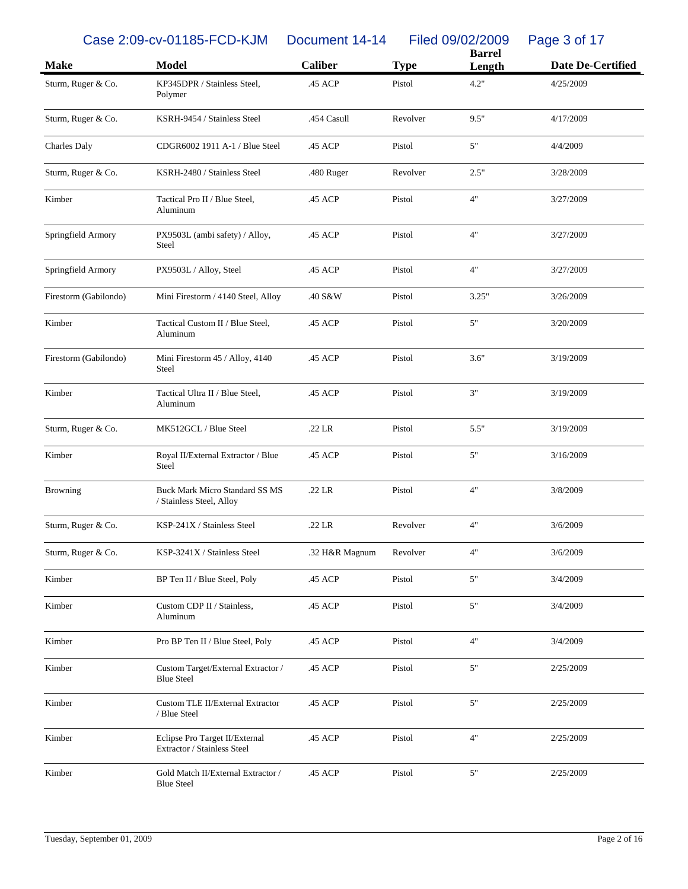## Case 2:09-cv-01185-FCD-KJM Document 14-14 Filed 09/02/2009 Page 3 of 17

| <b>Make</b>           | <b>Model</b>                                                      | <b>Caliber</b> | <b>Type</b> | <b>Barrel</b><br>Length | <b>Date De-Certified</b> |
|-----------------------|-------------------------------------------------------------------|----------------|-------------|-------------------------|--------------------------|
| Sturm, Ruger & Co.    | KP345DPR / Stainless Steel,<br>Polymer                            | .45 ACP        | Pistol      | 4.2"                    | 4/25/2009                |
| Sturm, Ruger & Co.    | KSRH-9454 / Stainless Steel                                       | .454 Casull    | Revolver    | 9.5"                    | 4/17/2009                |
| <b>Charles Daly</b>   | CDGR6002 1911 A-1 / Blue Steel                                    | .45 ACP        | Pistol      | 5"                      | 4/4/2009                 |
| Sturm, Ruger & Co.    | KSRH-2480 / Stainless Steel                                       | .480 Ruger     | Revolver    | 2.5"                    | 3/28/2009                |
| Kimber                | Tactical Pro II / Blue Steel,<br>Aluminum                         | .45 ACP        | Pistol      | 4"                      | 3/27/2009                |
| Springfield Armory    | PX9503L (ambi safety) / Alloy,<br>Steel                           | .45 ACP        | Pistol      | 4"                      | 3/27/2009                |
| Springfield Armory    | PX9503L / Alloy, Steel                                            | .45 ACP        | Pistol      | 4"                      | 3/27/2009                |
| Firestorm (Gabilondo) | Mini Firestorm / 4140 Steel, Alloy                                | .40 S&W        | Pistol      | 3.25"                   | 3/26/2009                |
| Kimber                | Tactical Custom II / Blue Steel,<br>Aluminum                      | .45 ACP        | Pistol      | 5"                      | 3/20/2009                |
| Firestorm (Gabilondo) | Mini Firestorm 45 / Alloy, 4140<br>Steel                          | .45 ACP        | Pistol      | 3.6"                    | 3/19/2009                |
| Kimber                | Tactical Ultra II / Blue Steel,<br>Aluminum                       | .45 ACP        | Pistol      | 3"                      | 3/19/2009                |
| Sturm, Ruger & Co.    | MK512GCL / Blue Steel                                             | $.22$ LR       | Pistol      | 5.5"                    | 3/19/2009                |
| Kimber                | Royal II/External Extractor / Blue<br>Steel                       | .45 ACP        | Pistol      | 5"                      | 3/16/2009                |
| <b>Browning</b>       | <b>Buck Mark Micro Standard SS MS</b><br>/ Stainless Steel, Alloy | $.22$ LR       | Pistol      | 4"                      | 3/8/2009                 |
| Sturm, Ruger & Co.    | KSP-241X / Stainless Steel                                        | .22 LR         | Revolver    | 4"                      | 3/6/2009                 |
| Sturm, Ruger & Co.    | KSP-3241X / Stainless Steel                                       | .32 H&R Magnum | Revolver    | 4"                      | 3/6/2009                 |
| Kimber                | BP Ten II / Blue Steel, Poly                                      | .45 ACP        | Pistol      | $5"$                    | 3/4/2009                 |
| Kimber                | Custom CDP II / Stainless,<br>Aluminum                            | .45 ACP        | Pistol      | $5"$                    | 3/4/2009                 |
| Kimber                | Pro BP Ten II / Blue Steel, Poly                                  | .45 ACP        | Pistol      | 4"                      | 3/4/2009                 |
| Kimber                | Custom Target/External Extractor /<br><b>Blue Steel</b>           | .45 ACP        | Pistol      | $5"$                    | 2/25/2009                |
| Kimber                | Custom TLE II/External Extractor<br>/ Blue Steel                  | .45 ACP        | Pistol      | $5"$                    | 2/25/2009                |
| Kimber                | Eclipse Pro Target II/External<br>Extractor / Stainless Steel     | .45 ACP        | Pistol      | 4"                      | 2/25/2009                |
| Kimber                | Gold Match II/External Extractor /<br><b>Blue Steel</b>           | .45 ACP        | Pistol      | $5"$                    | 2/25/2009                |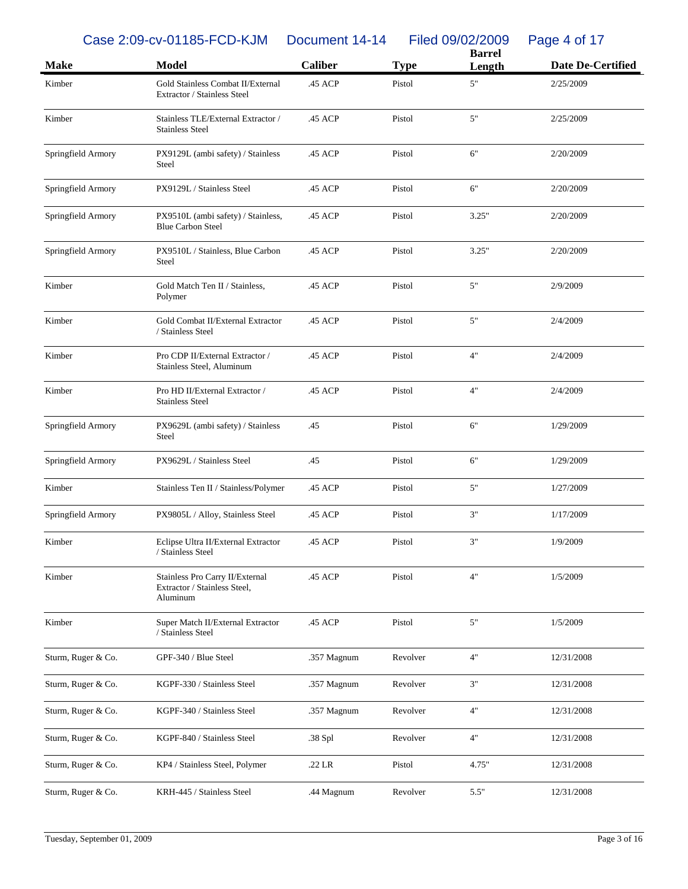Case 2:09-cv-01185-FCD-KJM Document 14-14 Filed 09/02/2009 Page 4 of 17

|                    | $30.2100$ or $0.1100$ to $1.001$                                            | <b>PUVULIVIII</b> IT IT |             | $\frac{1}{2}$ $\frac{1}{2}$ $\frac{1}{2}$ $\frac{1}{2}$ $\frac{1}{2}$ $\frac{1}{2}$ $\frac{1}{2}$ $\frac{1}{2}$ $\frac{1}{2}$ $\frac{1}{2}$ $\frac{1}{2}$ $\frac{1}{2}$<br>$1$ ugu $\pm$ 01 11<br><b>Barrel</b> |                   |  |
|--------------------|-----------------------------------------------------------------------------|-------------------------|-------------|-----------------------------------------------------------------------------------------------------------------------------------------------------------------------------------------------------------------|-------------------|--|
| <b>Make</b>        | <b>Model</b>                                                                | <b>Caliber</b>          | <b>Type</b> | Length                                                                                                                                                                                                          | Date De-Certified |  |
| Kimber             | Gold Stainless Combat II/External<br>Extractor / Stainless Steel            | .45 ACP                 | Pistol      | $5"$                                                                                                                                                                                                            | 2/25/2009         |  |
| Kimber             | Stainless TLE/External Extractor /<br><b>Stainless Steel</b>                | .45 ACP                 | Pistol      | 5"                                                                                                                                                                                                              | 2/25/2009         |  |
| Springfield Armory | PX9129L (ambi safety) / Stainless<br>Steel                                  | .45 ACP                 | Pistol      | 6"                                                                                                                                                                                                              | 2/20/2009         |  |
| Springfield Armory | PX9129L / Stainless Steel                                                   | .45 ACP                 | Pistol      | 6"                                                                                                                                                                                                              | 2/20/2009         |  |
| Springfield Armory | PX9510L (ambi safety) / Stainless,<br><b>Blue Carbon Steel</b>              | .45 ACP                 | Pistol      | 3.25"                                                                                                                                                                                                           | 2/20/2009         |  |
| Springfield Armory | PX9510L / Stainless, Blue Carbon<br>Steel                                   | .45 ACP                 | Pistol      | 3.25"                                                                                                                                                                                                           | 2/20/2009         |  |
| Kimber             | Gold Match Ten II / Stainless,<br>Polymer                                   | .45 ACP                 | Pistol      | $5"$                                                                                                                                                                                                            | 2/9/2009          |  |
| Kimber             | Gold Combat II/External Extractor<br>/ Stainless Steel                      | .45 ACP                 | Pistol      | 5"                                                                                                                                                                                                              | 2/4/2009          |  |
| Kimber             | Pro CDP II/External Extractor /<br>Stainless Steel, Aluminum                | .45 ACP                 | Pistol      | 4"                                                                                                                                                                                                              | 2/4/2009          |  |
| Kimber             | Pro HD II/External Extractor /<br><b>Stainless Steel</b>                    | .45 ACP                 | Pistol      | 4"                                                                                                                                                                                                              | 2/4/2009          |  |
| Springfield Armory | PX9629L (ambi safety) / Stainless<br>Steel                                  | .45                     | Pistol      | 6"                                                                                                                                                                                                              | 1/29/2009         |  |
| Springfield Armory | PX9629L / Stainless Steel                                                   | .45                     | Pistol      | 6"                                                                                                                                                                                                              | 1/29/2009         |  |
| Kimber             | Stainless Ten II / Stainless/Polymer                                        | .45 ACP                 | Pistol      | 5"                                                                                                                                                                                                              | 1/27/2009         |  |
| Springfield Armory | PX9805L / Alloy, Stainless Steel                                            | .45 ACP                 | Pistol      | 3"                                                                                                                                                                                                              | 1/17/2009         |  |
| Kimber             | Eclipse Ultra II/External Extractor<br>/ Stainless Steel                    | .45 ACP                 | Pistol      | 3"                                                                                                                                                                                                              | 1/9/2009          |  |
| Kimber             | Stainless Pro Carry II/External<br>Extractor / Stainless Steel,<br>Aluminum | .45 ACP                 | Pistol      | 4"                                                                                                                                                                                                              | 1/5/2009          |  |
| Kimber             | Super Match II/External Extractor<br>/ Stainless Steel                      | .45 ACP                 | Pistol      | 5"                                                                                                                                                                                                              | 1/5/2009          |  |
| Sturm, Ruger & Co. | GPF-340 / Blue Steel                                                        | .357 Magnum             | Revolver    | 4"                                                                                                                                                                                                              | 12/31/2008        |  |
| Sturm, Ruger & Co. | KGPF-330 / Stainless Steel                                                  | .357 Magnum             | Revolver    | 3"                                                                                                                                                                                                              | 12/31/2008        |  |
| Sturm, Ruger & Co. | KGPF-340 / Stainless Steel                                                  | .357 Magnum             | Revolver    | 4"                                                                                                                                                                                                              | 12/31/2008        |  |
| Sturm, Ruger & Co. | KGPF-840 / Stainless Steel                                                  | .38 Spl                 | Revolver    | 4"                                                                                                                                                                                                              | 12/31/2008        |  |
| Sturm, Ruger & Co. | KP4 / Stainless Steel, Polymer                                              | .22 LR                  | Pistol      | 4.75"                                                                                                                                                                                                           | 12/31/2008        |  |
| Sturm, Ruger & Co. | KRH-445 / Stainless Steel                                                   | .44 Magnum              | Revolver    | 5.5"                                                                                                                                                                                                            | 12/31/2008        |  |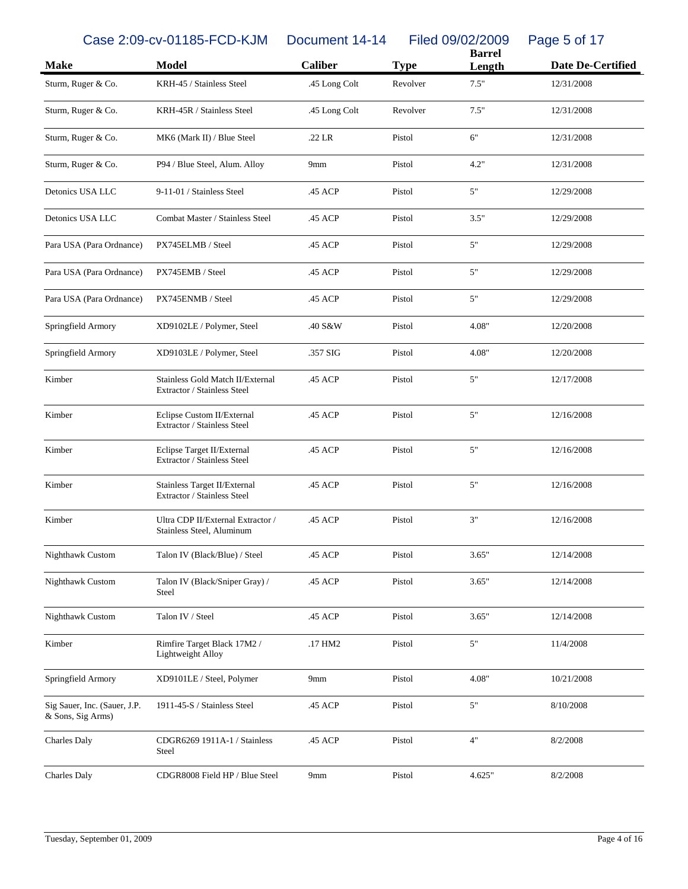Case 2:09-cv-01185-FCD-KJM Document 14-14 Filed 09/02/2009 Page 5 of 17

|                                                   |                                                                 |                 |             | <b>Barrel</b> |                   |  |  |
|---------------------------------------------------|-----------------------------------------------------------------|-----------------|-------------|---------------|-------------------|--|--|
| <b>Make</b>                                       | <b>Model</b>                                                    | <b>Caliber</b>  | <b>Type</b> | Length        | Date De-Certified |  |  |
| Sturm, Ruger & Co.                                | KRH-45 / Stainless Steel                                        | .45 Long Colt   | Revolver    | 7.5"          | 12/31/2008        |  |  |
| Sturm, Ruger & Co.                                | KRH-45R / Stainless Steel                                       | .45 Long Colt   | Revolver    | 7.5"          | 12/31/2008        |  |  |
| Sturm, Ruger & Co.                                | MK6 (Mark II) / Blue Steel                                      | $.22$ LR        | Pistol      | 6"            | 12/31/2008        |  |  |
| Sturm, Ruger & Co.                                | P94 / Blue Steel, Alum. Alloy                                   | 9mm             | Pistol      | 4.2"          | 12/31/2008        |  |  |
| Detonics USA LLC                                  | 9-11-01 / Stainless Steel                                       | .45 ACP         | Pistol      | 5"            | 12/29/2008        |  |  |
| Detonics USA LLC                                  | Combat Master / Stainless Steel                                 | .45 ACP         | Pistol      | 3.5"          | 12/29/2008        |  |  |
| Para USA (Para Ordnance)                          | PX745ELMB / Steel                                               | .45 ACP         | Pistol      | 5"            | 12/29/2008        |  |  |
| Para USA (Para Ordnance)                          | PX745EMB / Steel                                                | .45 ACP         | Pistol      | 5"            | 12/29/2008        |  |  |
| Para USA (Para Ordnance)                          | PX745ENMB / Steel                                               | .45 ACP         | Pistol      | 5"            | 12/29/2008        |  |  |
| Springfield Armory                                | XD9102LE / Polymer, Steel                                       | .40 S&W         | Pistol      | 4.08"         | 12/20/2008        |  |  |
| Springfield Armory                                | XD9103LE / Polymer, Steel                                       | .357 SIG        | Pistol      | 4.08"         | 12/20/2008        |  |  |
| Kimber                                            | Stainless Gold Match II/External<br>Extractor / Stainless Steel | .45 ACP         | Pistol      | 5"            | 12/17/2008        |  |  |
| Kimber                                            | Eclipse Custom II/External<br>Extractor / Stainless Steel       | .45 ACP         | Pistol      | 5"            | 12/16/2008        |  |  |
| Kimber                                            | Eclipse Target II/External<br>Extractor / Stainless Steel       | .45 ACP         | Pistol      | 5"            | 12/16/2008        |  |  |
| Kimber                                            | Stainless Target II/External<br>Extractor / Stainless Steel     | .45 ACP         | Pistol      | 5"            | 12/16/2008        |  |  |
| Kimber                                            | Ultra CDP II/External Extractor /<br>Stainless Steel, Aluminum  | .45 ACP         | Pistol      | 3"            | 12/16/2008        |  |  |
| Nighthawk Custom                                  | Talon IV (Black/Blue) / Steel                                   | .45 ACP         | Pistol      | 3.65"         | 12/14/2008        |  |  |
| Nighthawk Custom                                  | Talon IV (Black/Sniper Gray) /<br>Steel                         | .45 ACP         | Pistol      | 3.65"         | 12/14/2008        |  |  |
| Nighthawk Custom                                  | Talon IV / Steel                                                | .45 ACP         | Pistol      | 3.65"         | 12/14/2008        |  |  |
| Kimber                                            | Rimfire Target Black 17M2 /<br>Lightweight Alloy                | .17 HM2         | Pistol      | 5"            | 11/4/2008         |  |  |
| Springfield Armory                                | XD9101LE / Steel, Polymer                                       | 9mm             | Pistol      | 4.08"         | 10/21/2008        |  |  |
| Sig Sauer, Inc. (Sauer, J.P.<br>& Sons, Sig Arms) | 1911-45-S / Stainless Steel                                     | .45 ACP         | Pistol      | $5"$          | 8/10/2008         |  |  |
| <b>Charles Daly</b>                               | CDGR6269 1911A-1 / Stainless<br>Steel                           | .45 ACP         | Pistol      | 4"            | 8/2/2008          |  |  |
| Charles Daly                                      | CDGR8008 Field HP / Blue Steel                                  | 9 <sub>mm</sub> | Pistol      | 4.625"        | 8/2/2008          |  |  |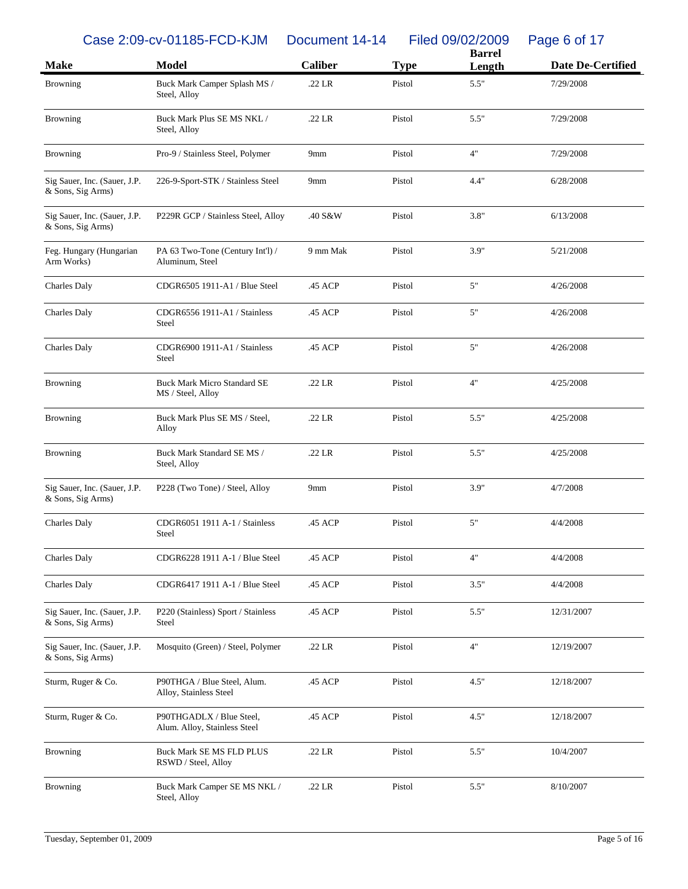Case 2:09-cv-01185-FCD-KJM Document 14-14 Filed 09/02/2009 Page 6 of 17

|                                                   |                                                          |                 |             | <b>Barrel</b> |                   |
|---------------------------------------------------|----------------------------------------------------------|-----------------|-------------|---------------|-------------------|
| <b>Make</b>                                       | <b>Model</b>                                             | <b>Caliber</b>  | <b>Type</b> | Length        | Date De-Certified |
| <b>Browning</b>                                   | Buck Mark Camper Splash MS /<br>Steel, Alloy             | .22 LR          | Pistol      | 5.5"          | 7/29/2008         |
| <b>Browning</b>                                   | Buck Mark Plus SE MS NKL /<br>Steel, Alloy               | .22 LR          | Pistol      | 5.5"          | 7/29/2008         |
| <b>Browning</b>                                   | Pro-9 / Stainless Steel, Polymer                         | 9mm             | Pistol      | 4"            | 7/29/2008         |
| Sig Sauer, Inc. (Sauer, J.P.<br>& Sons, Sig Arms) | 226-9-Sport-STK / Stainless Steel                        | 9 <sub>mm</sub> | Pistol      | 4.4"          | 6/28/2008         |
| Sig Sauer, Inc. (Sauer, J.P.<br>& Sons, Sig Arms) | P229R GCP / Stainless Steel, Alloy                       | .40 S&W         | Pistol      | 3.8"          | 6/13/2008         |
| Feg. Hungary (Hungarian<br>Arm Works)             | PA 63 Two-Tone (Century Int'l) /<br>Aluminum, Steel      | 9 mm Mak        | Pistol      | 3.9"          | 5/21/2008         |
| <b>Charles Daly</b>                               | CDGR6505 1911-A1 / Blue Steel                            | .45 ACP         | Pistol      | 5"            | 4/26/2008         |
| Charles Daly                                      | CDGR6556 1911-A1 / Stainless<br>Steel                    | .45 ACP         | Pistol      | $5"$          | 4/26/2008         |
| Charles Daly                                      | CDGR6900 1911-A1 / Stainless<br><b>Steel</b>             | .45 ACP         | Pistol      | $5"$          | 4/26/2008         |
| <b>Browning</b>                                   | <b>Buck Mark Micro Standard SE</b><br>MS / Steel, Alloy  | .22 LR          | Pistol      | 4"            | 4/25/2008         |
| <b>Browning</b>                                   | Buck Mark Plus SE MS / Steel,<br>Alloy                   | .22 LR          | Pistol      | 5.5"          | 4/25/2008         |
| <b>Browning</b>                                   | Buck Mark Standard SE MS /<br>Steel, Alloy               | .22 LR          | Pistol      | 5.5"          | 4/25/2008         |
| Sig Sauer, Inc. (Sauer, J.P.<br>& Sons, Sig Arms) | P228 (Two Tone) / Steel, Alloy                           | 9mm             | Pistol      | 3.9"          | 4/7/2008          |
| Charles Daly                                      | CDGR6051 1911 A-1 / Stainless<br><b>Steel</b>            | .45 ACP         | Pistol      | $5"$          | 4/4/2008          |
| <b>Charles Daly</b>                               | CDGR6228 1911 A-1 / Blue Steel                           | .45 ACP         | Pistol      | 4"            | 4/4/2008          |
| <b>Charles Daly</b>                               | CDGR6417 1911 A-1 / Blue Steel                           | .45 ACP         | Pistol      | 3.5"          | 4/4/2008          |
| Sig Sauer, Inc. (Sauer, J.P.<br>& Sons, Sig Arms) | P220 (Stainless) Sport / Stainless<br>Steel              | .45 ACP         | Pistol      | 5.5"          | 12/31/2007        |
| Sig Sauer, Inc. (Sauer, J.P.<br>& Sons, Sig Arms) | Mosquito (Green) / Steel, Polymer                        | .22 LR          | Pistol      | 4"            | 12/19/2007        |
| Sturm, Ruger & Co.                                | P90THGA / Blue Steel, Alum.<br>Alloy, Stainless Steel    | .45 ACP         | Pistol      | 4.5"          | 12/18/2007        |
| Sturm, Ruger & Co.                                | P90THGADLX / Blue Steel,<br>Alum. Alloy, Stainless Steel | .45 ACP         | Pistol      | 4.5"          | 12/18/2007        |
| <b>Browning</b>                                   | <b>Buck Mark SE MS FLD PLUS</b><br>RSWD / Steel, Alloy   | .22 LR          | Pistol      | 5.5"          | 10/4/2007         |
| <b>Browning</b>                                   | Buck Mark Camper SE MS NKL /<br>Steel, Alloy             | .22 LR          | Pistol      | 5.5"          | 8/10/2007         |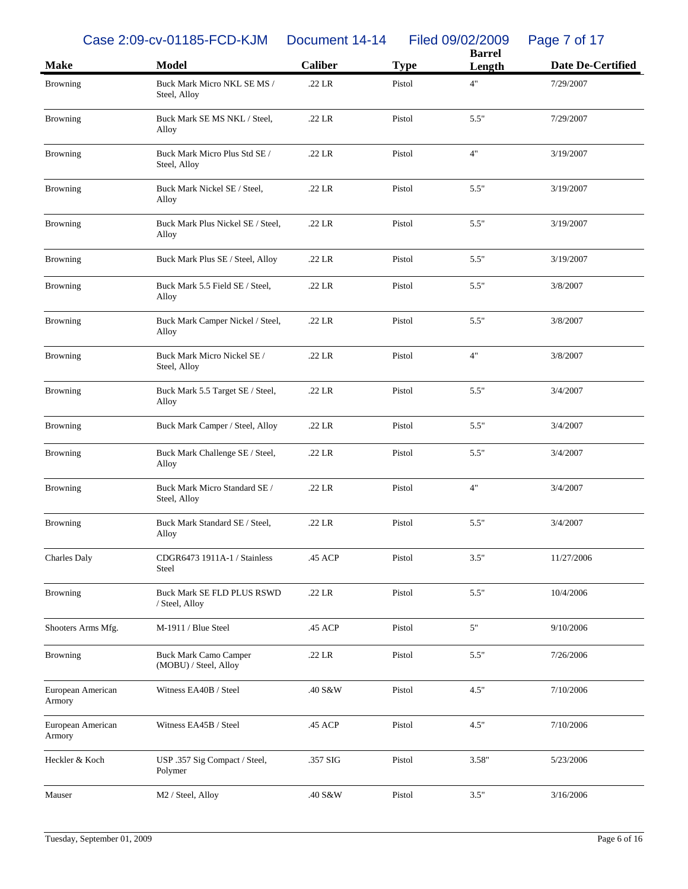Case 2:09-cv-01185-FCD-KJM Document 14-14 Filed 09/02/2009 Page 7 of 17

| <b>Make</b>                 | <b>Model</b>                                          | <b>Caliber</b> | <b>Type</b> | <b>Barrel</b><br>Length | <b>Date De-Certified</b> |
|-----------------------------|-------------------------------------------------------|----------------|-------------|-------------------------|--------------------------|
|                             |                                                       |                |             | 4"                      |                          |
| <b>Browning</b>             | Buck Mark Micro NKL SE MS /<br>Steel, Alloy           | $.22$ LR       | Pistol      |                         | 7/29/2007                |
| Browning                    | Buck Mark SE MS NKL / Steel,<br>Alloy                 | $.22$ LR       | Pistol      | 5.5"                    | 7/29/2007                |
| Browning                    | Buck Mark Micro Plus Std SE /<br>Steel, Alloy         | $.22$ LR       | Pistol      | 4"                      | 3/19/2007                |
| Browning                    | Buck Mark Nickel SE / Steel,<br>Alloy                 | $.22$ LR       | Pistol      | 5.5"                    | 3/19/2007                |
| <b>Browning</b>             | Buck Mark Plus Nickel SE / Steel,<br>Alloy            | $.22$ LR       | Pistol      | 5.5"                    | 3/19/2007                |
| <b>Browning</b>             | Buck Mark Plus SE / Steel, Alloy                      | $.22$ LR       | Pistol      | 5.5"                    | 3/19/2007                |
| <b>Browning</b>             | Buck Mark 5.5 Field SE / Steel,<br>Alloy              | $.22$ LR       | Pistol      | 5.5"                    | 3/8/2007                 |
| <b>Browning</b>             | Buck Mark Camper Nickel / Steel,<br>Alloy             | $.22$ LR       | Pistol      | 5.5"                    | 3/8/2007                 |
| Browning                    | Buck Mark Micro Nickel SE /<br>Steel, Alloy           | $.22$ LR       | Pistol      | 4"                      | 3/8/2007                 |
| <b>Browning</b>             | Buck Mark 5.5 Target SE / Steel,<br>Alloy             | $.22$ LR       | Pistol      | 5.5"                    | 3/4/2007                 |
| <b>Browning</b>             | Buck Mark Camper / Steel, Alloy                       | $.22$ LR       | Pistol      | 5.5"                    | 3/4/2007                 |
| Browning                    | Buck Mark Challenge SE / Steel,<br>Alloy              | $.22$ LR       | Pistol      | 5.5"                    | 3/4/2007                 |
| <b>Browning</b>             | Buck Mark Micro Standard SE /<br>Steel, Alloy         | .22 LR         | Pistol      | 4"                      | 3/4/2007                 |
| <b>Browning</b>             | Buck Mark Standard SE / Steel,<br>Alloy               | $.22$ LR       | Pistol      | 5.5"                    | 3/4/2007                 |
| Charles Daly                | CDGR6473 1911A-1 / Stainless<br>Steel                 | .45 ACP        | Pistol      | 3.5"                    | 11/27/2006               |
| <b>Browning</b>             | Buck Mark SE FLD PLUS RSWD<br>/ Steel, Alloy          | .22 LR         | Pistol      | 5.5"                    | 10/4/2006                |
| Shooters Arms Mfg.          | M-1911 / Blue Steel                                   | .45 ACP        | Pistol      | $5"$                    | 9/10/2006                |
| <b>Browning</b>             | <b>Buck Mark Camo Camper</b><br>(MOBU) / Steel, Alloy | .22 LR         | Pistol      | 5.5"                    | 7/26/2006                |
| European American<br>Armory | Witness EA40B / Steel                                 | .40 S&W        | Pistol      | 4.5"                    | 7/10/2006                |
| European American<br>Armory | Witness EA45B / Steel                                 | .45 ACP        | Pistol      | 4.5"                    | 7/10/2006                |
| Heckler & Koch              | USP .357 Sig Compact / Steel,<br>Polymer              | .357 SIG       | Pistol      | 3.58"                   | 5/23/2006                |
| Mauser                      | M2 / Steel, Alloy                                     | .40 S&W        | Pistol      | 3.5"                    | 3/16/2006                |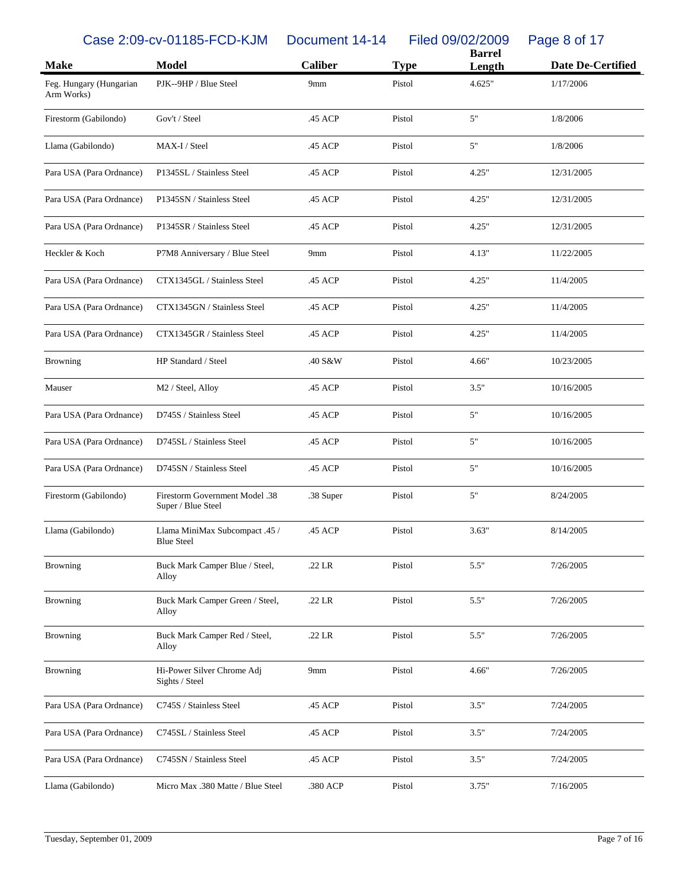Case 2:09-cv-01185-FCD-KJM Document 14-14 Filed 09/02/2009 Page 8 of 17

| <b>Make</b>                           | <b>Model</b>                                                | <b>Caliber</b>  | <b>Type</b> | <b>Barrel</b><br>Length | <b>Date De-Certified</b> |
|---------------------------------------|-------------------------------------------------------------|-----------------|-------------|-------------------------|--------------------------|
| Feg. Hungary (Hungarian<br>Arm Works) | PJK--9HP / Blue Steel                                       | 9mm             | Pistol      | 4.625"                  | 1/17/2006                |
| Firestorm (Gabilondo)                 | Gov't / Steel                                               | .45 ACP         | Pistol      | 5"                      | 1/8/2006                 |
| Llama (Gabilondo)                     | MAX-I / Steel                                               | .45 ACP         | Pistol      | 5"                      | 1/8/2006                 |
| Para USA (Para Ordnance)              | P1345SL / Stainless Steel                                   | .45 ACP         | Pistol      | 4.25"                   | 12/31/2005               |
| Para USA (Para Ordnance)              | P1345SN / Stainless Steel                                   | .45 ACP         | Pistol      | 4.25"                   | 12/31/2005               |
| Para USA (Para Ordnance)              | P1345SR / Stainless Steel                                   | .45 ACP         | Pistol      | 4.25"                   | 12/31/2005               |
| Heckler & Koch                        | P7M8 Anniversary / Blue Steel                               | 9 <sub>mm</sub> | Pistol      | 4.13"                   | 11/22/2005               |
| Para USA (Para Ordnance)              | CTX1345GL / Stainless Steel                                 | .45 ACP         | Pistol      | 4.25"                   | 11/4/2005                |
| Para USA (Para Ordnance)              | CTX1345GN / Stainless Steel                                 | .45 ACP         | Pistol      | 4.25"                   | 11/4/2005                |
| Para USA (Para Ordnance)              | CTX1345GR / Stainless Steel                                 | .45 ACP         | Pistol      | 4.25"                   | 11/4/2005                |
| <b>Browning</b>                       | HP Standard / Steel                                         | .40 S&W         | Pistol      | 4.66"                   | 10/23/2005               |
| Mauser                                | M2 / Steel, Alloy                                           | .45 ACP         | Pistol      | 3.5"                    | 10/16/2005               |
| Para USA (Para Ordnance)              | D745S / Stainless Steel                                     | .45 ACP         | Pistol      | 5"                      | 10/16/2005               |
| Para USA (Para Ordnance)              | D745SL / Stainless Steel                                    | .45 ACP         | Pistol      | 5"                      | 10/16/2005               |
| Para USA (Para Ordnance)              | D745SN / Stainless Steel                                    | .45 ACP         | Pistol      | 5"                      | 10/16/2005               |
| Firestorm (Gabilondo)                 | <b>Firestorm Government Model .38</b><br>Super / Blue Steel | .38 Super       | Pistol      | 5"                      | 8/24/2005                |
| Llama (Gabilondo)                     | Llama MiniMax Subcompact .45 /<br><b>Blue Steel</b>         | .45 ACP         | Pistol      | 3.63"                   | 8/14/2005                |
| <b>Browning</b>                       | Buck Mark Camper Blue / Steel,<br>Alloy                     | .22 LR          | Pistol      | 5.5"                    | 7/26/2005                |
| <b>Browning</b>                       | Buck Mark Camper Green / Steel,<br>Alloy                    | .22 LR          | Pistol      | 5.5"                    | 7/26/2005                |
| <b>Browning</b>                       | Buck Mark Camper Red / Steel,<br>Alloy                      | $.22$ LR        | Pistol      | 5.5"                    | 7/26/2005                |
| Browning                              | Hi-Power Silver Chrome Adj<br>Sights / Steel                | 9mm             | Pistol      | 4.66"                   | 7/26/2005                |
| Para USA (Para Ordnance)              | C745S / Stainless Steel                                     | .45 ACP         | Pistol      | 3.5"                    | 7/24/2005                |
| Para USA (Para Ordnance)              | C745SL / Stainless Steel                                    | .45 ACP         | Pistol      | 3.5"                    | 7/24/2005                |
| Para USA (Para Ordnance)              | C745SN / Stainless Steel                                    | .45 ACP         | Pistol      | 3.5"                    | 7/24/2005                |
| Llama (Gabilondo)                     | Micro Max .380 Matte / Blue Steel                           | .380 ACP        | Pistol      | 3.75"                   | 7/16/2005                |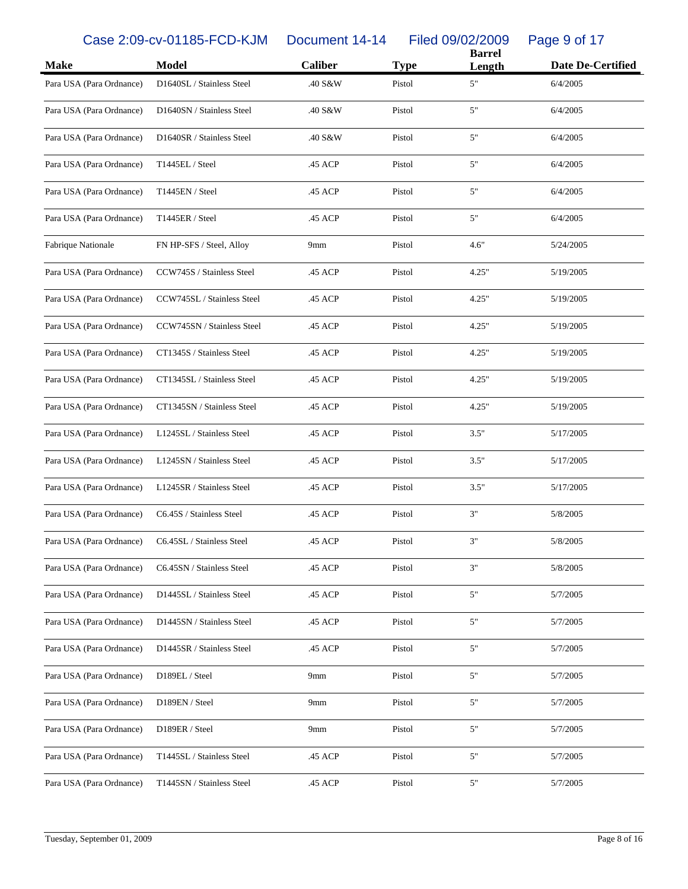Case 2:09-cv-01185-FCD-KJM Document 14-14 Filed 09/02/2009 Page 9 of 17

| <b>Make</b>              | <b>Model</b>               | Caliber | <b>Type</b> | <b>Barrel</b><br>Length | <b>Date De-Certified</b> |
|--------------------------|----------------------------|---------|-------------|-------------------------|--------------------------|
| Para USA (Para Ordnance) | D1640SL / Stainless Steel  | .40 S&W | Pistol      | 5"                      | 6/4/2005                 |
| Para USA (Para Ordnance) | D1640SN / Stainless Steel  | .40 S&W | Pistol      | 5"                      | 6/4/2005                 |
| Para USA (Para Ordnance) | D1640SR / Stainless Steel  | .40 S&W | Pistol      | 5"                      | 6/4/2005                 |
| Para USA (Para Ordnance) | T1445EL / Steel            | .45 ACP | Pistol      | 5"                      | 6/4/2005                 |
| Para USA (Para Ordnance) | T1445EN / Steel            | .45 ACP | Pistol      | 5"                      | 6/4/2005                 |
| Para USA (Para Ordnance) | T1445ER / Steel            | .45 ACP | Pistol      | 5"                      | 6/4/2005                 |
| Fabrique Nationale       | FN HP-SFS / Steel, Alloy   | 9mm     | Pistol      | 4.6"                    | 5/24/2005                |
| Para USA (Para Ordnance) | CCW745S / Stainless Steel  | .45 ACP | Pistol      | 4.25"                   | 5/19/2005                |
| Para USA (Para Ordnance) | CCW745SL / Stainless Steel | .45 ACP | Pistol      | 4.25"                   | 5/19/2005                |
| Para USA (Para Ordnance) | CCW745SN / Stainless Steel | .45 ACP | Pistol      | 4.25"                   | 5/19/2005                |
| Para USA (Para Ordnance) | CT1345S / Stainless Steel  | .45 ACP | Pistol      | 4.25"                   | 5/19/2005                |
| Para USA (Para Ordnance) | CT1345SL / Stainless Steel | .45 ACP | Pistol      | 4.25"                   | 5/19/2005                |
| Para USA (Para Ordnance) | CT1345SN / Stainless Steel | .45 ACP | Pistol      | 4.25"                   | 5/19/2005                |
| Para USA (Para Ordnance) | L1245SL / Stainless Steel  | .45 ACP | Pistol      | 3.5"                    | 5/17/2005                |
| Para USA (Para Ordnance) | L1245SN / Stainless Steel  | .45 ACP | Pistol      | 3.5"                    | 5/17/2005                |
| Para USA (Para Ordnance) | L1245SR / Stainless Steel  | .45 ACP | Pistol      | 3.5"                    | 5/17/2005                |
| Para USA (Para Ordnance) | C6.45S / Stainless Steel   | .45 ACP | Pistol      | 3"                      | 5/8/2005                 |
| Para USA (Para Ordnance) | C6.45SL / Stainless Steel  | .45 ACP | Pistol      | 3"                      | 5/8/2005                 |
| Para USA (Para Ordnance) | C6.45SN / Stainless Steel  | .45 ACP | Pistol      | 3"                      | 5/8/2005                 |
| Para USA (Para Ordnance) | D1445SL / Stainless Steel  | .45 ACP | Pistol      | 5"                      | 5/7/2005                 |
| Para USA (Para Ordnance) | D1445SN / Stainless Steel  | .45 ACP | Pistol      | 5"                      | 5/7/2005                 |
| Para USA (Para Ordnance) | D1445SR / Stainless Steel  | .45 ACP | Pistol      | 5"                      | 5/7/2005                 |
| Para USA (Para Ordnance) | D189EL / Steel             | 9mm     | Pistol      | 5"                      | 5/7/2005                 |
| Para USA (Para Ordnance) | D189EN / Steel             | 9mm     | Pistol      | 5"                      | 5/7/2005                 |
| Para USA (Para Ordnance) | D189ER / Steel             | 9mm     | Pistol      | 5"                      | 5/7/2005                 |
| Para USA (Para Ordnance) | T1445SL / Stainless Steel  | .45 ACP | Pistol      | 5"                      | 5/7/2005                 |
| Para USA (Para Ordnance) | T1445SN / Stainless Steel  | .45 ACP | Pistol      | 5"                      | 5/7/2005                 |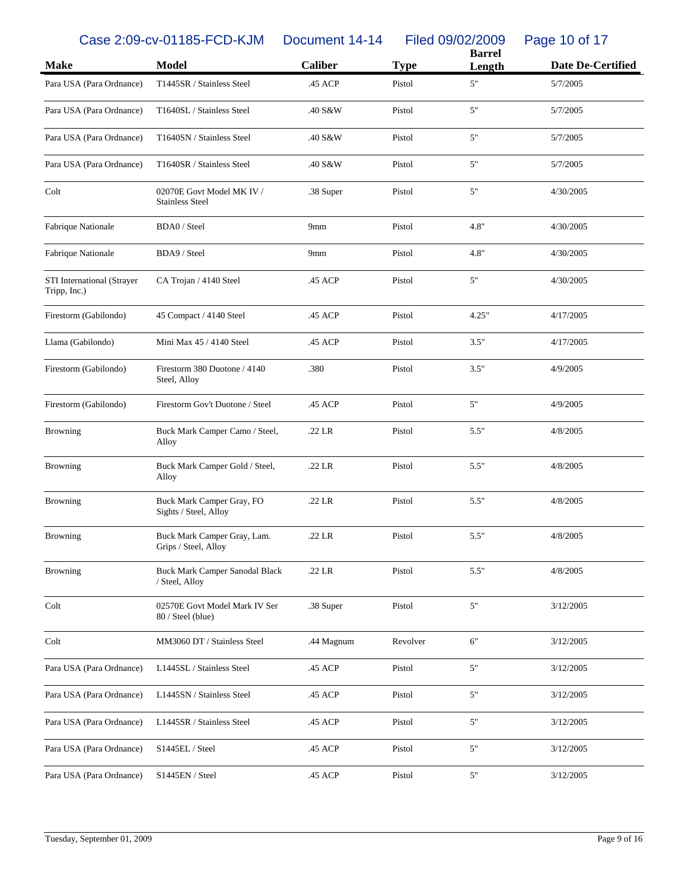Case 2:09-cv-01185-FCD-KJM Document 14-14 Filed 09/02/2009 Page 10 of 17

| <b>Make</b>                                | <b>Model</b>                                        | <b>Caliber</b> | <b>Type</b> | <b>Barrel</b><br>Length | <b>Date De-Certified</b> |
|--------------------------------------------|-----------------------------------------------------|----------------|-------------|-------------------------|--------------------------|
| Para USA (Para Ordnance)                   | T1445SR / Stainless Steel                           | .45 ACP        | Pistol      | 5"                      | 5/7/2005                 |
|                                            |                                                     |                |             |                         |                          |
| Para USA (Para Ordnance)                   | T1640SL / Stainless Steel                           | .40 S&W        | Pistol      | 5"                      | 5/7/2005                 |
| Para USA (Para Ordnance)                   | T1640SN / Stainless Steel                           | .40 S&W        | Pistol      | 5"                      | 5/7/2005                 |
| Para USA (Para Ordnance)                   | T1640SR / Stainless Steel                           | .40 S&W        | Pistol      | 5"                      | 5/7/2005                 |
| Colt                                       | 02070E Govt Model MK IV /<br><b>Stainless Steel</b> | .38 Super      | Pistol      | 5"                      | 4/30/2005                |
| Fabrique Nationale                         | BDA0 / Steel                                        | 9mm            | Pistol      | 4.8"                    | 4/30/2005                |
| Fabrique Nationale                         | BDA9 / Steel                                        | 9mm            | Pistol      | 4.8"                    | 4/30/2005                |
| STI International (Strayer<br>Tripp, Inc.) | CA Trojan / 4140 Steel                              | .45 ACP        | Pistol      | 5"                      | 4/30/2005                |
| Firestorm (Gabilondo)                      | 45 Compact / 4140 Steel                             | .45 ACP        | Pistol      | 4.25"                   | 4/17/2005                |
| Llama (Gabilondo)                          | Mini Max 45 / 4140 Steel                            | .45 ACP        | Pistol      | 3.5"                    | 4/17/2005                |
| Firestorm (Gabilondo)                      | Firestorm 380 Duotone / 4140<br>Steel, Alloy        | .380           | Pistol      | 3.5"                    | 4/9/2005                 |
| Firestorm (Gabilondo)                      | Firestorm Gov't Duotone / Steel                     | .45 ACP        | Pistol      | 5"                      | 4/9/2005                 |
| <b>Browning</b>                            | Buck Mark Camper Camo / Steel,<br>Alloy             | .22 LR         | Pistol      | 5.5"                    | 4/8/2005                 |
| <b>Browning</b>                            | Buck Mark Camper Gold / Steel,<br>Alloy             | $.22$ LR       | Pistol      | 5.5"                    | 4/8/2005                 |
| <b>Browning</b>                            | Buck Mark Camper Gray, FO<br>Sights / Steel, Alloy  | .22 LR         | Pistol      | 5.5"                    | 4/8/2005                 |
| <b>Browning</b>                            | Buck Mark Camper Gray, Lam.<br>Grips / Steel, Alloy | $.22$ LR       | Pistol      | 5.5"                    | 4/8/2005                 |
| <b>Browning</b>                            | Buck Mark Camper Sanodal Black<br>/ Steel, Alloy    | .22 LR         | Pistol      | 5.5"                    | 4/8/2005                 |
| Colt                                       | 02570E Govt Model Mark IV Ser<br>80 / Steel (blue)  | .38 Super      | Pistol      | $5"$                    | 3/12/2005                |
| Colt                                       | MM3060 DT / Stainless Steel                         | .44 Magnum     | Revolver    | 6"                      | 3/12/2005                |
| Para USA (Para Ordnance)                   | L1445SL / Stainless Steel                           | .45 ACP        | Pistol      | $5"$                    | 3/12/2005                |
| Para USA (Para Ordnance)                   | L1445SN / Stainless Steel                           | .45 ACP        | Pistol      | $5"$                    | 3/12/2005                |
| Para USA (Para Ordnance)                   | L1445SR / Stainless Steel                           | .45 ACP        | Pistol      | $5"$                    | 3/12/2005                |
| Para USA (Para Ordnance)                   | S1445EL / Steel                                     | .45 ACP        | Pistol      | $5"$                    | 3/12/2005                |
| Para USA (Para Ordnance)                   | S1445EN / Steel                                     | .45 ACP        | Pistol      | $5"$                    | 3/12/2005                |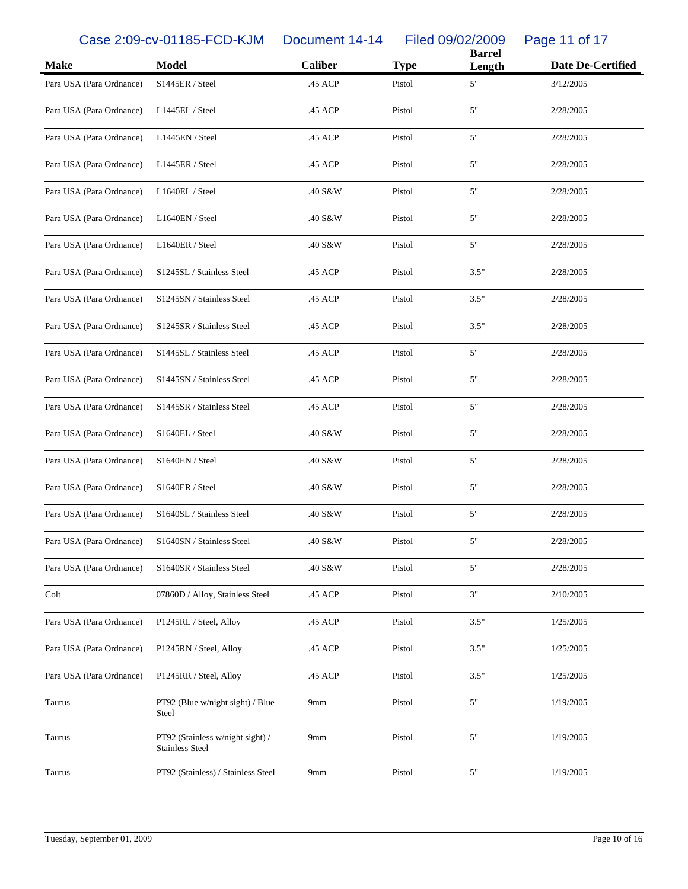Case 2:09-cv-01185-FCD-KJM Document 14-14 Filed 09/02/2009 Page 11 of 17

|                          |                                                            |                |             | <b>Barrel</b> |                          |
|--------------------------|------------------------------------------------------------|----------------|-------------|---------------|--------------------------|
| <b>Make</b>              | <b>Model</b>                                               | <b>Caliber</b> | <b>Type</b> | Length        | <b>Date De-Certified</b> |
| Para USA (Para Ordnance) | S1445ER / Steel                                            | .45 ACP        | Pistol      | 5"            | 3/12/2005                |
| Para USA (Para Ordnance) | L1445EL / Steel                                            | .45 ACP        | Pistol      | 5"            | 2/28/2005                |
| Para USA (Para Ordnance) | L1445EN / Steel                                            | .45 ACP        | Pistol      | 5"            | 2/28/2005                |
| Para USA (Para Ordnance) | L1445ER / Steel                                            | .45 ACP        | Pistol      | 5"            | 2/28/2005                |
| Para USA (Para Ordnance) | L1640EL / Steel                                            | .40 S&W        | Pistol      | 5"            | 2/28/2005                |
| Para USA (Para Ordnance) | L1640EN / Steel                                            | .40 S&W        | Pistol      | 5"            | 2/28/2005                |
| Para USA (Para Ordnance) | L1640ER / Steel                                            | .40 S&W        | Pistol      | 5"            | 2/28/2005                |
| Para USA (Para Ordnance) | S1245SL / Stainless Steel                                  | .45 ACP        | Pistol      | 3.5"          | 2/28/2005                |
| Para USA (Para Ordnance) | S1245SN / Stainless Steel                                  | .45 ACP        | Pistol      | 3.5"          | 2/28/2005                |
| Para USA (Para Ordnance) | S1245SR / Stainless Steel                                  | .45 ACP        | Pistol      | 3.5"          | 2/28/2005                |
| Para USA (Para Ordnance) | S1445SL / Stainless Steel                                  | .45 ACP        | Pistol      | 5"            | 2/28/2005                |
| Para USA (Para Ordnance) | S1445SN / Stainless Steel                                  | .45 ACP        | Pistol      | 5"            | 2/28/2005                |
| Para USA (Para Ordnance) | S1445SR / Stainless Steel                                  | .45 ACP        | Pistol      | 5"            | 2/28/2005                |
| Para USA (Para Ordnance) | S1640EL / Steel                                            | .40 S&W        | Pistol      | 5"            | 2/28/2005                |
| Para USA (Para Ordnance) | S1640EN / Steel                                            | .40 S&W        | Pistol      | 5"            | 2/28/2005                |
| Para USA (Para Ordnance) | S1640ER / Steel                                            | .40 S&W        | Pistol      | 5"            | 2/28/2005                |
| Para USA (Para Ordnance) | S1640SL / Stainless Steel                                  | .40 S&W        | Pistol      | 5"            | 2/28/2005                |
| Para USA (Para Ordnance) | S1640SN / Stainless Steel                                  | .40 S&W        | Pistol      | 5"            | 2/28/2005                |
| Para USA (Para Ordnance) | S1640SR / Stainless Steel                                  | .40 S&W        | Pistol      | 5"            | 2/28/2005                |
| Colt                     | 07860D / Alloy, Stainless Steel                            | .45 ACP        | Pistol      | 3"            | 2/10/2005                |
| Para USA (Para Ordnance) | P1245RL / Steel, Alloy                                     | .45 ACP        | Pistol      | 3.5"          | 1/25/2005                |
| Para USA (Para Ordnance) | P1245RN / Steel, Alloy                                     | .45 ACP        | Pistol      | 3.5"          | 1/25/2005                |
| Para USA (Para Ordnance) | P1245RR / Steel, Alloy                                     | .45 ACP        | Pistol      | 3.5"          | 1/25/2005                |
| Taurus                   | PT92 (Blue w/night sight) / Blue<br>Steel                  | 9mm            | Pistol      | $5"$          | 1/19/2005                |
| Taurus                   | PT92 (Stainless w/night sight) /<br><b>Stainless Steel</b> | 9mm            | Pistol      | 5"            | 1/19/2005                |
| Taurus                   | PT92 (Stainless) / Stainless Steel                         | 9mm            | Pistol      | $5"$          | 1/19/2005                |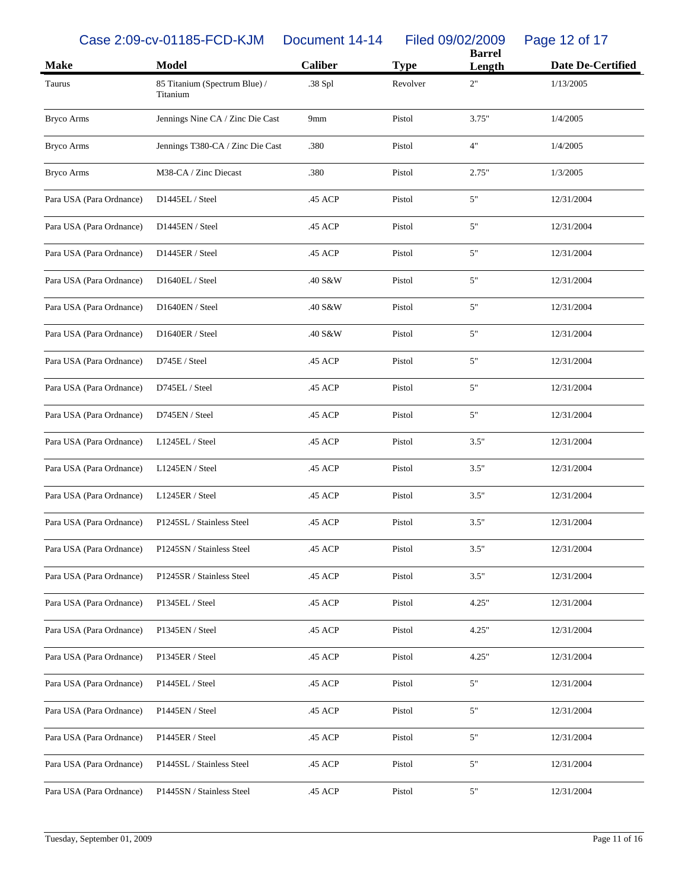Case 2:09-cv-01185-FCD-KJM Document 14-14 Filed 09/02/2009 Page 12 of 17

| <b>Make</b>              | <b>Model</b>                              | <b>Caliber</b> | <b>Type</b> | <b>Barrel</b><br>Length | <b>Date De-Certified</b> |
|--------------------------|-------------------------------------------|----------------|-------------|-------------------------|--------------------------|
| Taurus                   | 85 Titanium (Spectrum Blue) /<br>Titanium | .38 Spl        | Revolver    | 2"                      | 1/13/2005                |
| <b>Bryco Arms</b>        | Jennings Nine CA / Zinc Die Cast          | 9mm            | Pistol      | 3.75"                   | 1/4/2005                 |
| <b>Bryco Arms</b>        | Jennings T380-CA / Zinc Die Cast          | .380           | Pistol      | 4"                      | 1/4/2005                 |
| <b>Bryco Arms</b>        | M38-CA / Zinc Diecast                     | .380           | Pistol      | 2.75"                   | 1/3/2005                 |
| Para USA (Para Ordnance) | D1445EL / Steel                           | .45 ACP        | Pistol      | 5"                      | 12/31/2004               |
| Para USA (Para Ordnance) | D1445EN / Steel                           | .45 ACP        | Pistol      | 5"                      | 12/31/2004               |
| Para USA (Para Ordnance) | D1445ER / Steel                           | .45 ACP        | Pistol      | 5"                      | 12/31/2004               |
| Para USA (Para Ordnance) | D1640EL / Steel                           | .40 S&W        | Pistol      | 5"                      | 12/31/2004               |
| Para USA (Para Ordnance) | D1640EN / Steel                           | .40 S&W        | Pistol      | 5"                      | 12/31/2004               |
| Para USA (Para Ordnance) | D1640ER / Steel                           | .40 S&W        | Pistol      | 5"                      | 12/31/2004               |
| Para USA (Para Ordnance) | D745E / Steel                             | .45 ACP        | Pistol      | 5"                      | 12/31/2004               |
| Para USA (Para Ordnance) | D745EL / Steel                            | .45 ACP        | Pistol      | 5"                      | 12/31/2004               |
| Para USA (Para Ordnance) | D745EN / Steel                            | .45 ACP        | Pistol      | 5"                      | 12/31/2004               |
| Para USA (Para Ordnance) | L1245EL / Steel                           | .45 ACP        | Pistol      | 3.5"                    | 12/31/2004               |
| Para USA (Para Ordnance) | L1245EN / Steel                           | .45 ACP        | Pistol      | 3.5"                    | 12/31/2004               |
| Para USA (Para Ordnance) | L1245ER / Steel                           | .45 ACP        | Pistol      | 3.5"                    | 12/31/2004               |
| Para USA (Para Ordnance) | P1245SL / Stainless Steel                 | .45 ACP        | Pistol      | 3.5"                    | 12/31/2004               |
| Para USA (Para Ordnance) | P1245SN / Stainless Steel                 | .45 ACP        | Pistol      | 3.5"                    | 12/31/2004               |
| Para USA (Para Ordnance) | P1245SR / Stainless Steel                 | .45 ACP        | Pistol      | 3.5"                    | 12/31/2004               |
| Para USA (Para Ordnance) | P1345EL / Steel                           | .45 ACP        | Pistol      | 4.25"                   | 12/31/2004               |
| Para USA (Para Ordnance) | P1345EN / Steel                           | .45 ACP        | Pistol      | 4.25"                   | 12/31/2004               |
| Para USA (Para Ordnance) | P1345ER / Steel                           | .45 ACP        | Pistol      | 4.25"                   | 12/31/2004               |
| Para USA (Para Ordnance) | P1445EL / Steel                           | .45 ACP        | Pistol      | 5"                      | 12/31/2004               |
| Para USA (Para Ordnance) | P1445EN / Steel                           | .45 ACP        | Pistol      | 5"                      | 12/31/2004               |
| Para USA (Para Ordnance) | P1445ER / Steel                           | .45 ACP        | Pistol      | 5"                      | 12/31/2004               |
| Para USA (Para Ordnance) | P1445SL / Stainless Steel                 | .45 ACP        | Pistol      | 5"                      | 12/31/2004               |
| Para USA (Para Ordnance) | P1445SN / Stainless Steel                 | .45 ACP        | Pistol      | 5"                      | 12/31/2004               |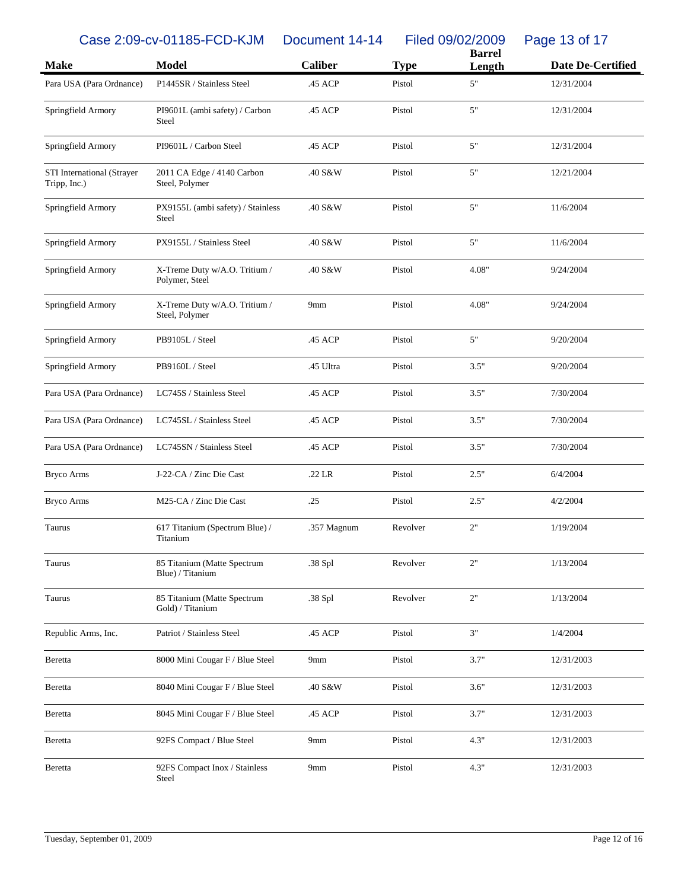Case 2:09-cv-01185-FCD-KJM Document 14-14 Filed 09/02/2009 Page 13 of 17

| <b>Make</b>                                | <b>Model</b>                                    | <b>Caliber</b>  | <b>Type</b> | <b>Barrel</b><br>Length | <b>Date De-Certified</b> |
|--------------------------------------------|-------------------------------------------------|-----------------|-------------|-------------------------|--------------------------|
| Para USA (Para Ordnance)                   | P1445SR / Stainless Steel                       | .45 ACP         | Pistol      | $5"$                    | 12/31/2004               |
| Springfield Armory                         | PI9601L (ambi safety) / Carbon<br>Steel         | .45 ACP         | Pistol      | $5"$                    | 12/31/2004               |
| Springfield Armory                         | PI9601L / Carbon Steel                          | .45 ACP         | Pistol      | $5"$                    | 12/31/2004               |
| STI International (Strayer<br>Tripp, Inc.) | 2011 CA Edge / 4140 Carbon<br>Steel, Polymer    | .40 S&W         | Pistol      | 5"                      | 12/21/2004               |
| Springfield Armory                         | PX9155L (ambi safety) / Stainless<br>Steel      | .40 S&W         | Pistol      | 5"                      | 11/6/2004                |
| Springfield Armory                         | PX9155L / Stainless Steel                       | .40 S&W         | Pistol      | 5"                      | 11/6/2004                |
| Springfield Armory                         | X-Treme Duty w/A.O. Tritium /<br>Polymer, Steel | .40 S&W         | Pistol      | 4.08"                   | 9/24/2004                |
| Springfield Armory                         | X-Treme Duty w/A.O. Tritium /<br>Steel, Polymer | 9mm             | Pistol      | 4.08"                   | 9/24/2004                |
| Springfield Armory                         | PB9105L / Steel                                 | .45 ACP         | Pistol      | 5"                      | 9/20/2004                |
| Springfield Armory                         | PB9160L / Steel                                 | .45 Ultra       | Pistol      | 3.5"                    | 9/20/2004                |
| Para USA (Para Ordnance)                   | LC745S / Stainless Steel                        | .45 ACP         | Pistol      | 3.5"                    | 7/30/2004                |
| Para USA (Para Ordnance)                   | LC745SL / Stainless Steel                       | .45 ACP         | Pistol      | 3.5"                    | 7/30/2004                |
| Para USA (Para Ordnance)                   | LC745SN / Stainless Steel                       | .45 ACP         | Pistol      | 3.5"                    | 7/30/2004                |
| <b>Bryco Arms</b>                          | J-22-CA / Zinc Die Cast                         | $.22$ LR        | Pistol      | 2.5"                    | 6/4/2004                 |
| <b>Bryco Arms</b>                          | M25-CA / Zinc Die Cast                          | .25             | Pistol      | 2.5"                    | 4/2/2004                 |
| Taurus                                     | 617 Titanium (Spectrum Blue) /<br>Titanium      | .357 Magnum     | Revolver    | 2"                      | 1/19/2004                |
| Taurus                                     | 85 Titanium (Matte Spectrum<br>Blue) / Titanium | .38 Spl         | Revolver    | 2"                      | 1/13/2004                |
| Taurus                                     | 85 Titanium (Matte Spectrum<br>Gold) / Titanium | .38 Spl         | Revolver    | $2"$                    | 1/13/2004                |
| Republic Arms, Inc.                        | Patriot / Stainless Steel                       | .45 ACP         | Pistol      | 3"                      | 1/4/2004                 |
| Beretta                                    | 8000 Mini Cougar F / Blue Steel                 | 9mm             | Pistol      | 3.7"                    | 12/31/2003               |
| Beretta                                    | 8040 Mini Cougar F / Blue Steel                 | .40 S&W         | Pistol      | 3.6"                    | 12/31/2003               |
| Beretta                                    | 8045 Mini Cougar F / Blue Steel                 | .45 ACP         | Pistol      | 3.7"                    | 12/31/2003               |
| Beretta                                    | 92FS Compact / Blue Steel                       | 9 <sub>mm</sub> | Pistol      | 4.3"                    | 12/31/2003               |
| Beretta                                    | 92FS Compact Inox / Stainless<br>Steel          | 9mm             | Pistol      | 4.3"                    | 12/31/2003               |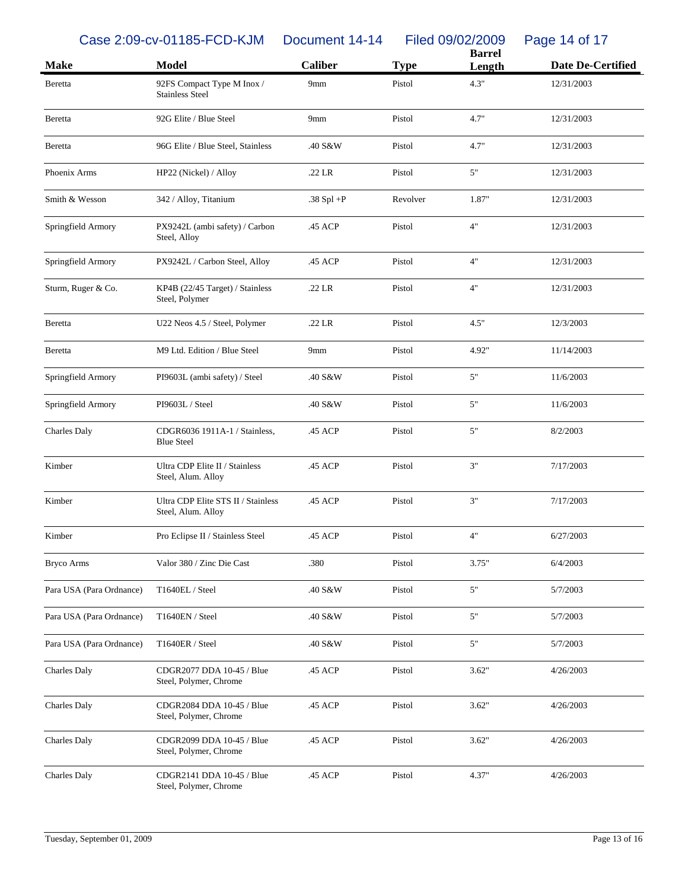Case 2:09-cv-01185-FCD-KJM Document 14-14 Filed 09/02/2009 Page 14 of 17

| <b>Make</b>              | <b>Model</b>                                             | <b>Caliber</b> | <b>Type</b> | <b>Barrel</b><br>Length | <b>Date De-Certified</b> |
|--------------------------|----------------------------------------------------------|----------------|-------------|-------------------------|--------------------------|
| Beretta                  | 92FS Compact Type M Inox /<br><b>Stainless Steel</b>     | 9mm            | Pistol      | 4.3"                    | 12/31/2003               |
| Beretta                  | 92G Elite / Blue Steel                                   | 9mm            | Pistol      | 4.7"                    | 12/31/2003               |
| Beretta                  | 96G Elite / Blue Steel, Stainless                        | .40 S&W        | Pistol      | 4.7"                    | 12/31/2003               |
| Phoenix Arms             | HP22 (Nickel) / Alloy                                    | $.22$ LR       | Pistol      | 5"                      | 12/31/2003               |
| Smith & Wesson           | 342 / Alloy, Titanium                                    | .38 Spl $+P$   | Revolver    | 1.87"                   | 12/31/2003               |
| Springfield Armory       | PX9242L (ambi safety) / Carbon<br>Steel, Alloy           | .45 ACP        | Pistol      | 4"                      | 12/31/2003               |
| Springfield Armory       | PX9242L / Carbon Steel, Alloy                            | .45 ACP        | Pistol      | 4"                      | 12/31/2003               |
| Sturm, Ruger & Co.       | KP4B (22/45 Target) / Stainless<br>Steel, Polymer        | $.22$ LR       | Pistol      | 4"                      | 12/31/2003               |
| Beretta                  | U22 Neos 4.5 / Steel, Polymer                            | .22 LR         | Pistol      | 4.5"                    | 12/3/2003                |
| Beretta                  | M9 Ltd. Edition / Blue Steel                             | 9mm            | Pistol      | 4.92"                   | 11/14/2003               |
| Springfield Armory       | PI9603L (ambi safety) / Steel                            | .40 S&W        | Pistol      | 5"                      | 11/6/2003                |
| Springfield Armory       | PI9603L / Steel                                          | .40 S&W        | Pistol      | 5"                      | 11/6/2003                |
| Charles Daly             | CDGR6036 1911A-1 / Stainless,<br><b>Blue Steel</b>       | .45 ACP        | Pistol      | 5"                      | 8/2/2003                 |
| Kimber                   | Ultra CDP Elite II / Stainless<br>Steel, Alum. Alloy     | .45 ACP        | Pistol      | 3"                      | 7/17/2003                |
| Kimber                   | Ultra CDP Elite STS II / Stainless<br>Steel, Alum. Alloy | .45 ACP        | Pistol      | 3"                      | 7/17/2003                |
| Kimber                   | Pro Eclipse II / Stainless Steel                         | .45 ACP        | Pistol      | 4"                      | 6/27/2003                |
| <b>Bryco Arms</b>        | Valor 380 / Zinc Die Cast                                | .380           | Pistol      | 3.75"                   | 6/4/2003                 |
| Para USA (Para Ordnance) | T1640EL / Steel                                          | .40 S&W        | Pistol      | 5"                      | 5/7/2003                 |
| Para USA (Para Ordnance) | T1640EN / Steel                                          | .40 S&W        | Pistol      | 5"                      | 5/7/2003                 |
| Para USA (Para Ordnance) | T1640ER / Steel                                          | .40 S&W        | Pistol      | $5"$                    | 5/7/2003                 |
| Charles Daly             | CDGR2077 DDA 10-45 / Blue<br>Steel, Polymer, Chrome      | .45 ACP        | Pistol      | 3.62"                   | 4/26/2003                |
| Charles Daly             | CDGR2084 DDA 10-45 / Blue<br>Steel, Polymer, Chrome      | .45 ACP        | Pistol      | 3.62"                   | 4/26/2003                |
| Charles Daly             | CDGR2099 DDA 10-45 / Blue<br>Steel, Polymer, Chrome      | .45 ACP        | Pistol      | 3.62"                   | 4/26/2003                |
| Charles Daly             | CDGR2141 DDA 10-45 / Blue<br>Steel, Polymer, Chrome      | .45 ACP        | Pistol      | 4.37"                   | 4/26/2003                |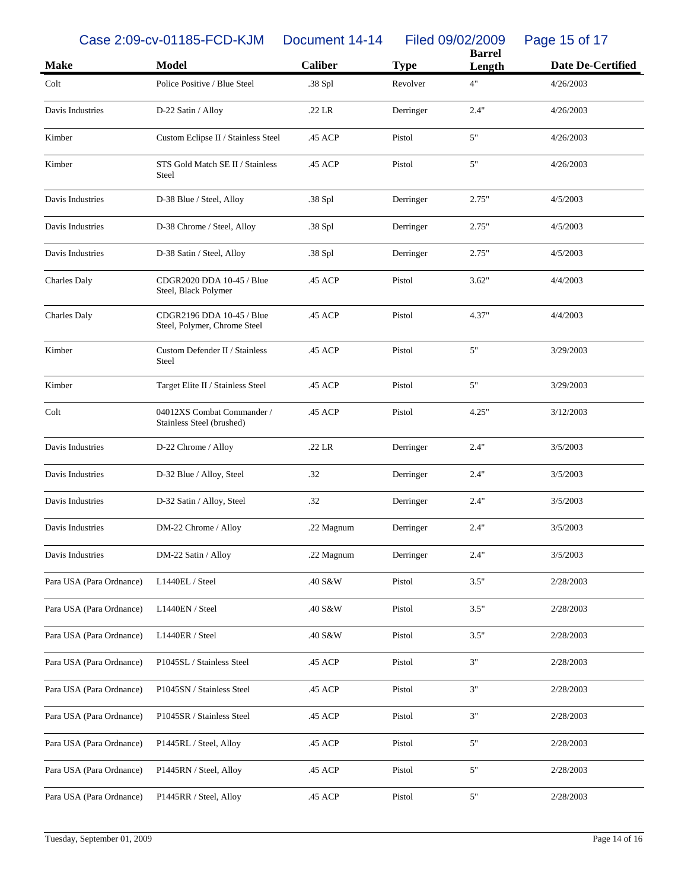Case 2:09-cv-01185-FCD-KJM Document 14-14 Filed 09/02/2009 Page 15 of 17

|                          |                                                           |                |             | <b>Barrel</b> |                          |
|--------------------------|-----------------------------------------------------------|----------------|-------------|---------------|--------------------------|
| <b>Make</b>              | <b>Model</b>                                              | <b>Caliber</b> | <b>Type</b> | Length        | <b>Date De-Certified</b> |
| Colt                     | Police Positive / Blue Steel                              | .38 Spl        | Revolver    | 4"            | 4/26/2003                |
| Davis Industries         | D-22 Satin / Alloy                                        | $.22$ LR       | Derringer   | 2.4"          | 4/26/2003                |
| Kimber                   | Custom Eclipse II / Stainless Steel                       | .45 ACP        | Pistol      | 5"            | 4/26/2003                |
| Kimber                   | STS Gold Match SE II / Stainless<br>Steel                 | .45 ACP        | Pistol      | 5"            | 4/26/2003                |
| Davis Industries         | D-38 Blue / Steel, Alloy                                  | .38 Spl        | Derringer   | 2.75"         | 4/5/2003                 |
| Davis Industries         | D-38 Chrome / Steel, Alloy                                | .38 Spl        | Derringer   | 2.75"         | 4/5/2003                 |
| Davis Industries         | D-38 Satin / Steel, Alloy                                 | .38 Spl        | Derringer   | 2.75"         | 4/5/2003                 |
| <b>Charles Daly</b>      | CDGR2020 DDA 10-45 / Blue<br>Steel, Black Polymer         | .45 ACP        | Pistol      | 3.62"         | 4/4/2003                 |
| Charles Daly             | CDGR2196 DDA 10-45 / Blue<br>Steel, Polymer, Chrome Steel | .45 ACP        | Pistol      | 4.37"         | 4/4/2003                 |
| Kimber                   | Custom Defender II / Stainless<br>Steel                   | .45 ACP        | Pistol      | 5"            | 3/29/2003                |
| Kimber                   | Target Elite II / Stainless Steel                         | .45 ACP        | Pistol      | 5"            | 3/29/2003                |
| Colt                     | 04012XS Combat Commander /<br>Stainless Steel (brushed)   | .45 ACP        | Pistol      | 4.25"         | 3/12/2003                |
| Davis Industries         | D-22 Chrome / Alloy                                       | $.22$ LR       | Derringer   | 2.4"          | 3/5/2003                 |
| Davis Industries         | D-32 Blue / Alloy, Steel                                  | .32            | Derringer   | 2.4"          | 3/5/2003                 |
| Davis Industries         | D-32 Satin / Alloy, Steel                                 | .32            | Derringer   | 2.4"          | 3/5/2003                 |
| Davis Industries         | DM-22 Chrome / Alloy                                      | .22 Magnum     | Derringer   | 2.4"          | 3/5/2003                 |
| Davis Industries         | DM-22 Satin / Alloy                                       | .22 Magnum     | Derringer   | 2.4"          | 3/5/2003                 |
| Para USA (Para Ordnance) | L1440EL / Steel                                           | .40 S&W        | Pistol      | 3.5"          | 2/28/2003                |
| Para USA (Para Ordnance) | L1440EN / Steel                                           | .40 S&W        | Pistol      | 3.5"          | 2/28/2003                |
| Para USA (Para Ordnance) | L1440ER / Steel                                           | .40 S&W        | Pistol      | 3.5"          | 2/28/2003                |
| Para USA (Para Ordnance) | P1045SL / Stainless Steel                                 | .45 ACP        | Pistol      | 3"            | 2/28/2003                |
| Para USA (Para Ordnance) | P1045SN / Stainless Steel                                 | .45 ACP        | Pistol      | 3"            | 2/28/2003                |
| Para USA (Para Ordnance) | P1045SR / Stainless Steel                                 | .45 ACP        | Pistol      | 3"            | 2/28/2003                |
| Para USA (Para Ordnance) | P1445RL / Steel, Alloy                                    | .45 ACP        | Pistol      | 5"            | 2/28/2003                |
| Para USA (Para Ordnance) | P1445RN / Steel, Alloy                                    | .45 ACP        | Pistol      | 5"            | 2/28/2003                |
| Para USA (Para Ordnance) | P1445RR / Steel, Alloy                                    | .45 ACP        | Pistol      | 5"            | 2/28/2003                |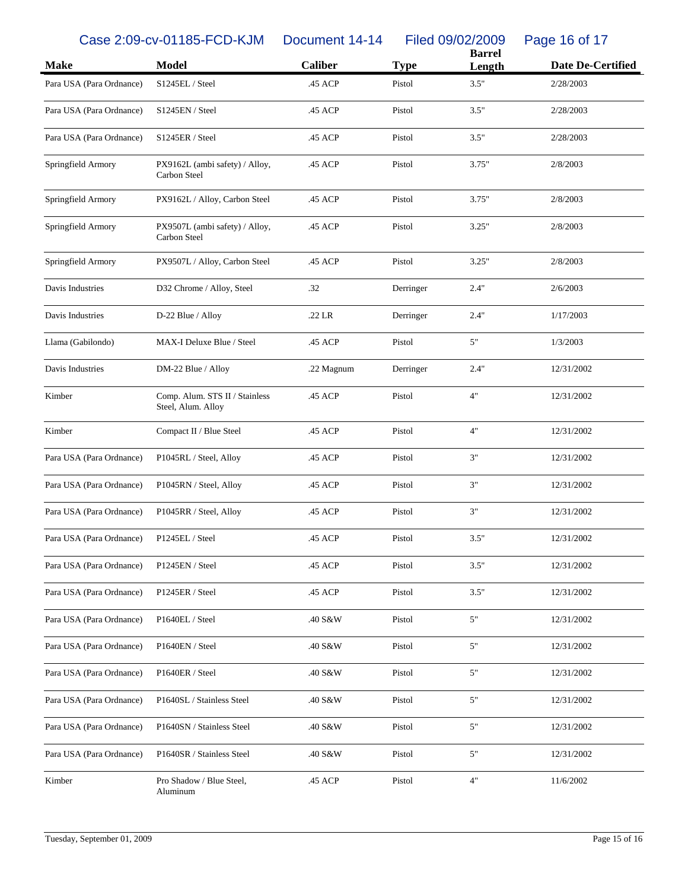Case 2:09-cv-01185-FCD-KJM Document 14-14 Filed 09/02/2009 Page 16 of 17

|                          |                                                      |                |             | <b>Barrel</b> |                          |
|--------------------------|------------------------------------------------------|----------------|-------------|---------------|--------------------------|
| <b>Make</b>              | <b>Model</b>                                         | <b>Caliber</b> | <b>Type</b> | Length        | <b>Date De-Certified</b> |
| Para USA (Para Ordnance) | S1245EL / Steel                                      | .45 ACP        | Pistol      | 3.5"          | 2/28/2003                |
| Para USA (Para Ordnance) | S1245EN / Steel                                      | .45 ACP        | Pistol      | 3.5"          | 2/28/2003                |
| Para USA (Para Ordnance) | S1245ER / Steel                                      | .45 ACP        | Pistol      | 3.5"          | 2/28/2003                |
| Springfield Armory       | PX9162L (ambi safety) / Alloy,<br>Carbon Steel       | .45 ACP        | Pistol      | 3.75"         | 2/8/2003                 |
| Springfield Armory       | PX9162L / Alloy, Carbon Steel                        | .45 ACP        | Pistol      | 3.75"         | 2/8/2003                 |
| Springfield Armory       | PX9507L (ambi safety) / Alloy,<br>Carbon Steel       | .45 ACP        | Pistol      | 3.25"         | 2/8/2003                 |
| Springfield Armory       | PX9507L / Alloy, Carbon Steel                        | .45 ACP        | Pistol      | 3.25"         | 2/8/2003                 |
| Davis Industries         | D32 Chrome / Alloy, Steel                            | .32            | Derringer   | 2.4"          | 2/6/2003                 |
| Davis Industries         | D-22 Blue / Alloy                                    | .22 LR         | Derringer   | 2.4"          | 1/17/2003                |
| Llama (Gabilondo)        | MAX-I Deluxe Blue / Steel                            | .45 ACP        | Pistol      | $5"$          | 1/3/2003                 |
| Davis Industries         | DM-22 Blue / Alloy                                   | .22 Magnum     | Derringer   | 2.4"          | 12/31/2002               |
| Kimber                   | Comp. Alum. STS II / Stainless<br>Steel, Alum. Alloy | .45 ACP        | Pistol      | 4"            | 12/31/2002               |
| Kimber                   | Compact II / Blue Steel                              | .45 ACP        | Pistol      | 4"            | 12/31/2002               |
| Para USA (Para Ordnance) | P1045RL / Steel, Alloy                               | .45 ACP        | Pistol      | 3"            | 12/31/2002               |
| Para USA (Para Ordnance) | P1045RN / Steel, Alloy                               | .45 ACP        | Pistol      | 3"            | 12/31/2002               |
| Para USA (Para Ordnance) | P1045RR / Steel, Alloy                               | .45 ACP        | Pistol      | 3"            | 12/31/2002               |
| Para USA (Para Ordnance) | P1245EL / Steel                                      | .45 ACP        | Pistol      | 3.5"          | 12/31/2002               |
| Para USA (Para Ordnance) | P1245EN / Steel                                      | .45 ACP        | Pistol      | 3.5"          | 12/31/2002               |
| Para USA (Para Ordnance) | P1245ER / Steel                                      | .45 ACP        | Pistol      | 3.5"          | 12/31/2002               |
| Para USA (Para Ordnance) | P1640EL / Steel                                      | .40 S&W        | Pistol      | 5"            | 12/31/2002               |
| Para USA (Para Ordnance) | P1640EN / Steel                                      | .40 S&W        | Pistol      | 5"            | 12/31/2002               |
| Para USA (Para Ordnance) | P1640ER / Steel                                      | .40 S&W        | Pistol      | 5"            | 12/31/2002               |
| Para USA (Para Ordnance) | P1640SL / Stainless Steel                            | .40 S&W        | Pistol      | 5"            | 12/31/2002               |
| Para USA (Para Ordnance) | P1640SN / Stainless Steel                            | .40 S&W        | Pistol      | 5"            | 12/31/2002               |
| Para USA (Para Ordnance) | P1640SR / Stainless Steel                            | .40 S&W        | Pistol      | 5"            | 12/31/2002               |
| Kimber                   | Pro Shadow / Blue Steel,<br>Aluminum                 | .45 ACP        | Pistol      | $4"$          | 11/6/2002                |